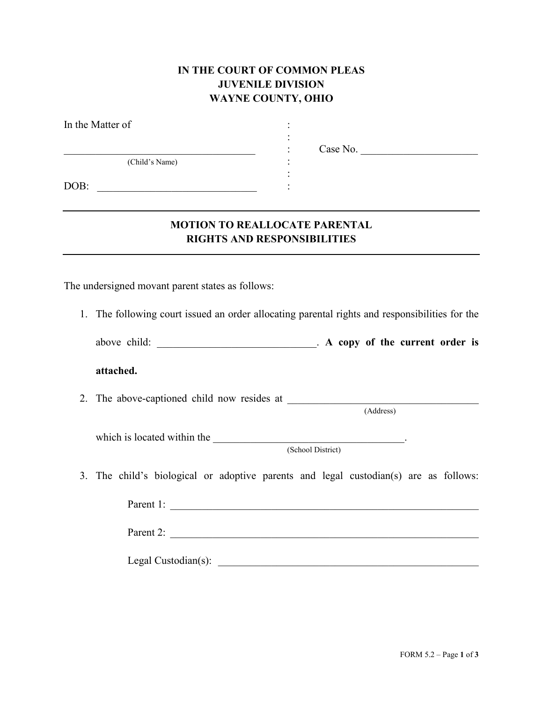## **IN THE COURT OF COMMON PLEAS JUVENILE DIVISION WAYNE COUNTY, OHIO**

| In the Matter of                                 |                                                                                                |
|--------------------------------------------------|------------------------------------------------------------------------------------------------|
| (Child's Name)<br>DOB:                           | Case No.                                                                                       |
|                                                  | <b>MOTION TO REALLOCATE PARENTAL</b><br><b>RIGHTS AND RESPONSIBILITIES</b>                     |
| The undersigned movant parent states as follows: |                                                                                                |
|                                                  | 1. The following court issued an order allocating parental rights and responsibilities for the |

| above child: |  |  |  |  |  | . A copy of the current order is |  |  |
|--------------|--|--|--|--|--|----------------------------------|--|--|
|--------------|--|--|--|--|--|----------------------------------|--|--|

**attached.**

2. The above-captioned child now resides at \_\_\_\_\_\_\_\_\_\_\_\_\_\_\_\_\_\_\_\_\_\_\_\_\_\_\_\_\_\_\_\_\_\_\_\_

(Address)

which is located within the \_\_\_\_\_\_\_\_\_\_\_\_\_\_\_\_\_\_\_\_\_\_\_\_\_\_\_\_\_\_\_\_\_\_\_\_.

(School District)

3. The child's biological or adoptive parents and legal custodian(s) are as follows:

Parent 1: \_\_\_\_\_\_\_\_\_\_\_\_\_\_\_\_\_\_\_\_\_\_\_\_\_\_\_\_\_\_\_\_\_\_\_\_\_\_\_\_\_\_\_\_\_\_\_\_\_\_\_\_\_\_\_\_\_\_ Parent 2: \_\_\_\_\_\_\_\_\_\_\_\_\_\_\_\_\_\_\_\_\_\_\_\_\_\_\_\_\_\_\_\_\_\_\_\_\_\_\_\_\_\_\_\_\_\_\_\_\_\_\_\_\_\_\_\_\_\_

Legal Custodian(s): \_\_\_\_\_\_\_\_\_\_\_\_\_\_\_\_\_\_\_\_\_\_\_\_\_\_\_\_\_\_\_\_\_\_\_\_\_\_\_\_\_\_\_\_\_\_\_\_\_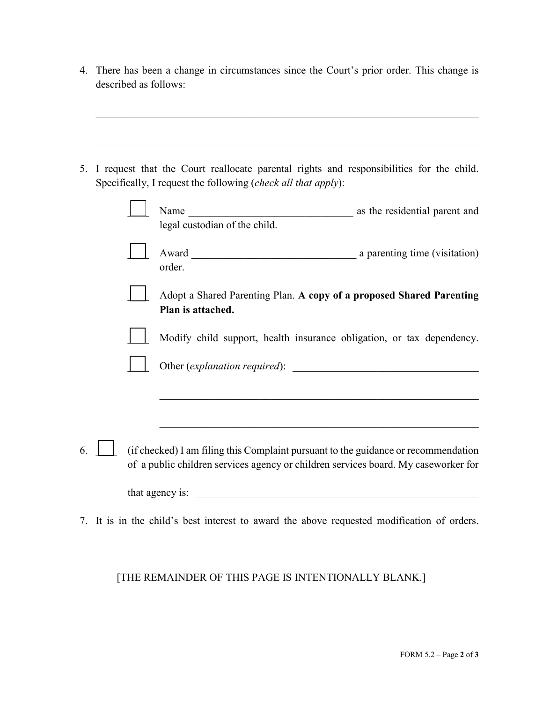4. There has been a change in circumstances since the Court's prior order. This change is described as follows:

 $\mathcal{L}_\text{G}$  , and the contribution of the contribution of the contribution of the contribution of the contribution of the contribution of the contribution of the contribution of the contribution of the contribution of t

 $\mathcal{L}_\text{max} = \mathcal{L}_\text{max} = \mathcal{L}_\text{max} = \mathcal{L}_\text{max} = \mathcal{L}_\text{max} = \mathcal{L}_\text{max} = \mathcal{L}_\text{max} = \mathcal{L}_\text{max} = \mathcal{L}_\text{max} = \mathcal{L}_\text{max} = \mathcal{L}_\text{max} = \mathcal{L}_\text{max} = \mathcal{L}_\text{max} = \mathcal{L}_\text{max} = \mathcal{L}_\text{max} = \mathcal{L}_\text{max} = \mathcal{L}_\text{max} = \mathcal{L}_\text{max} = \mathcal{$ 

5. I request that the Court reallocate parental rights and responsibilities for the child. Specifically, I request the following (*check all that apply*):

|    |  | Name<br><u> 1989 - Johann Barbara, martxa amerikan p</u><br>legal custodian of the child.                                                                                | as the residential parent and |
|----|--|--------------------------------------------------------------------------------------------------------------------------------------------------------------------------|-------------------------------|
|    |  | order.                                                                                                                                                                   |                               |
|    |  | Adopt a Shared Parenting Plan. A copy of a proposed Shared Parenting<br>Plan is attached.                                                                                |                               |
|    |  | Modify child support, health insurance obligation, or tax dependency.                                                                                                    |                               |
|    |  |                                                                                                                                                                          |                               |
|    |  |                                                                                                                                                                          |                               |
| 6. |  | (if checked) I am filing this Complaint pursuant to the guidance or recommendation<br>of a public children services agency or children services board. My caseworker for |                               |
|    |  | that agency is:<br><u> 1980 - John Stein, markin film yn y brenin y brenin y brenin y brenin y brenin y brenin y brenin y brenin y</u>                                   |                               |
|    |  | 7. It is in the child's best interest to award the above requested modification of orders.                                                                               |                               |

## [THE REMAINDER OF THIS PAGE IS INTENTIONALLY BLANK.]